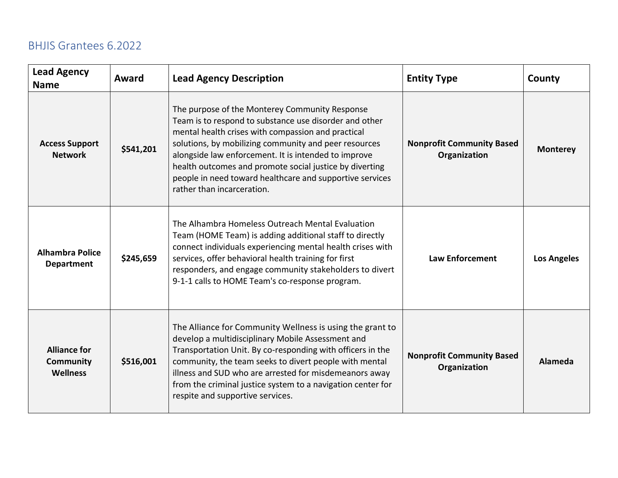| <b>Lead Agency</b><br><b>Name</b>                          | Award     | <b>Lead Agency Description</b>                                                                                                                                                                                                                                                                                                                                                                                                       | <b>Entity Type</b>                               | County             |
|------------------------------------------------------------|-----------|--------------------------------------------------------------------------------------------------------------------------------------------------------------------------------------------------------------------------------------------------------------------------------------------------------------------------------------------------------------------------------------------------------------------------------------|--------------------------------------------------|--------------------|
| <b>Access Support</b><br><b>Network</b>                    | \$541,201 | The purpose of the Monterey Community Response<br>Team is to respond to substance use disorder and other<br>mental health crises with compassion and practical<br>solutions, by mobilizing community and peer resources<br>alongside law enforcement. It is intended to improve<br>health outcomes and promote social justice by diverting<br>people in need toward healthcare and supportive services<br>rather than incarceration. | <b>Nonprofit Community Based</b><br>Organization | <b>Monterey</b>    |
| <b>Alhambra Police</b><br><b>Department</b>                | \$245,659 | The Alhambra Homeless Outreach Mental Evaluation<br>Team (HOME Team) is adding additional staff to directly<br>connect individuals experiencing mental health crises with<br>services, offer behavioral health training for first<br>responders, and engage community stakeholders to divert<br>9-1-1 calls to HOME Team's co-response program.                                                                                      | <b>Law Enforcement</b>                           | <b>Los Angeles</b> |
| <b>Alliance for</b><br><b>Community</b><br><b>Wellness</b> | \$516,001 | The Alliance for Community Wellness is using the grant to<br>develop a multidisciplinary Mobile Assessment and<br>Transportation Unit. By co-responding with officers in the<br>community, the team seeks to divert people with mental<br>illness and SUD who are arrested for misdemeanors away<br>from the criminal justice system to a navigation center for<br>respite and supportive services.                                  | <b>Nonprofit Community Based</b><br>Organization | Alameda            |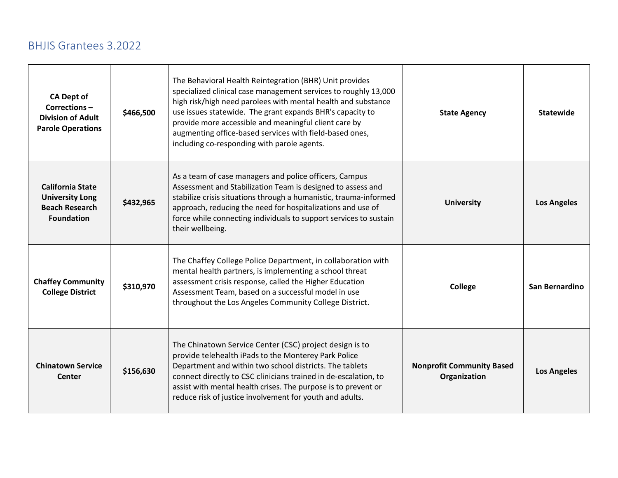| <b>CA Dept of</b><br>Corrections-<br><b>Division of Adult</b><br><b>Parole Operations</b>       | \$466,500 | The Behavioral Health Reintegration (BHR) Unit provides<br>specialized clinical case management services to roughly 13,000<br>high risk/high need parolees with mental health and substance<br>use issues statewide. The grant expands BHR's capacity to<br>provide more accessible and meaningful client care by<br>augmenting office-based services with field-based ones,<br>including co-responding with parole agents. | <b>State Agency</b>                              | <b>Statewide</b>   |
|-------------------------------------------------------------------------------------------------|-----------|-----------------------------------------------------------------------------------------------------------------------------------------------------------------------------------------------------------------------------------------------------------------------------------------------------------------------------------------------------------------------------------------------------------------------------|--------------------------------------------------|--------------------|
| <b>California State</b><br><b>University Long</b><br><b>Beach Research</b><br><b>Foundation</b> | \$432,965 | As a team of case managers and police officers, Campus<br>Assessment and Stabilization Team is designed to assess and<br>stabilize crisis situations through a humanistic, trauma-informed<br>approach, reducing the need for hospitalizations and use of<br>force while connecting individuals to support services to sustain<br>their wellbeing.                                                                          | <b>University</b>                                | <b>Los Angeles</b> |
| <b>Chaffey Community</b><br><b>College District</b>                                             | \$310,970 | The Chaffey College Police Department, in collaboration with<br>mental health partners, is implementing a school threat<br>assessment crisis response, called the Higher Education<br>Assessment Team, based on a successful model in use<br>throughout the Los Angeles Community College District.                                                                                                                         | <b>College</b>                                   | San Bernardino     |
| <b>Chinatown Service</b><br>Center                                                              | \$156,630 | The Chinatown Service Center (CSC) project design is to<br>provide telehealth iPads to the Monterey Park Police<br>Department and within two school districts. The tablets<br>connect directly to CSC clinicians trained in de-escalation, to<br>assist with mental health crises. The purpose is to prevent or<br>reduce risk of justice involvement for youth and adults.                                                 | <b>Nonprofit Community Based</b><br>Organization | <b>Los Angeles</b> |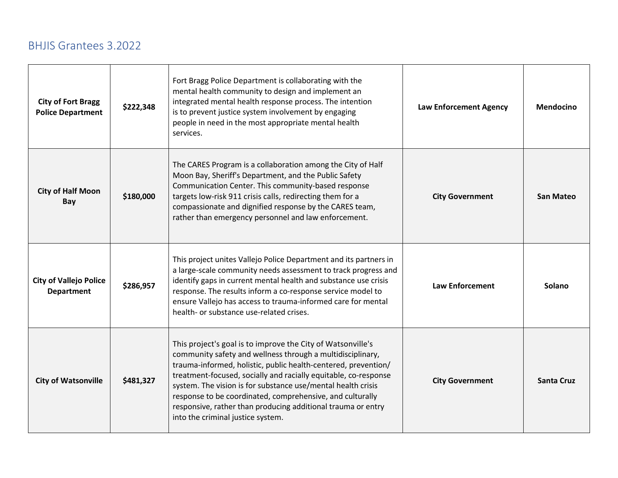| <b>City of Fort Bragg</b><br><b>Police Department</b> | \$222,348 | Fort Bragg Police Department is collaborating with the<br>mental health community to design and implement an<br>integrated mental health response process. The intention<br>is to prevent justice system involvement by engaging<br>people in need in the most appropriate mental health<br>services.                                                                                                                                                                                            | <b>Law Enforcement Agency</b> | <b>Mendocino</b>  |
|-------------------------------------------------------|-----------|--------------------------------------------------------------------------------------------------------------------------------------------------------------------------------------------------------------------------------------------------------------------------------------------------------------------------------------------------------------------------------------------------------------------------------------------------------------------------------------------------|-------------------------------|-------------------|
| <b>City of Half Moon</b><br>Bay                       | \$180,000 | The CARES Program is a collaboration among the City of Half<br>Moon Bay, Sheriff's Department, and the Public Safety<br>Communication Center. This community-based response<br>targets low-risk 911 crisis calls, redirecting them for a<br>compassionate and dignified response by the CARES team,<br>rather than emergency personnel and law enforcement.                                                                                                                                      | <b>City Government</b>        | <b>San Mateo</b>  |
| <b>City of Vallejo Police</b><br><b>Department</b>    | \$286,957 | This project unites Vallejo Police Department and its partners in<br>a large-scale community needs assessment to track progress and<br>identify gaps in current mental health and substance use crisis<br>response. The results inform a co-response service model to<br>ensure Vallejo has access to trauma-informed care for mental<br>health- or substance use-related crises.                                                                                                                | <b>Law Enforcement</b>        | Solano            |
| <b>City of Watsonville</b>                            | \$481,327 | This project's goal is to improve the City of Watsonville's<br>community safety and wellness through a multidisciplinary,<br>trauma-informed, holistic, public health-centered, prevention/<br>treatment-focused, socially and racially equitable, co-response<br>system. The vision is for substance use/mental health crisis<br>response to be coordinated, comprehensive, and culturally<br>responsive, rather than producing additional trauma or entry<br>into the criminal justice system. | <b>City Government</b>        | <b>Santa Cruz</b> |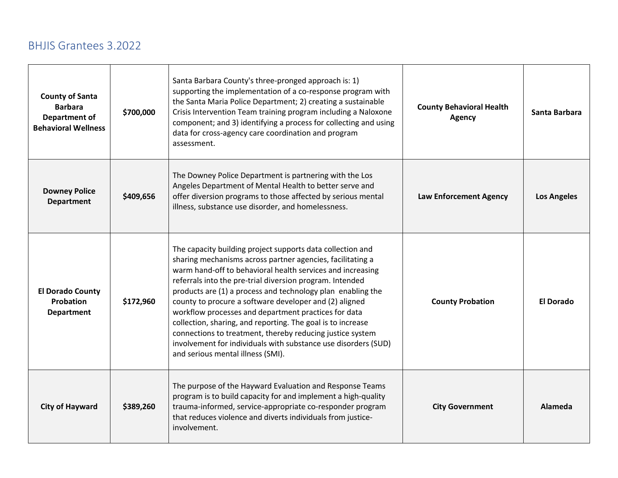| <b>County of Santa</b><br><b>Barbara</b><br>Department of<br><b>Behavioral Wellness</b> | \$700,000 | Santa Barbara County's three-pronged approach is: 1)<br>supporting the implementation of a co-response program with<br>the Santa Maria Police Department; 2) creating a sustainable<br>Crisis Intervention Team training program including a Naloxone<br>component; and 3) identifying a process for collecting and using<br>data for cross-agency care coordination and program<br>assessment.                                                                                                                                                                                                                                                                        | <b>County Behavioral Health</b><br><b>Agency</b> | Santa Barbara      |
|-----------------------------------------------------------------------------------------|-----------|------------------------------------------------------------------------------------------------------------------------------------------------------------------------------------------------------------------------------------------------------------------------------------------------------------------------------------------------------------------------------------------------------------------------------------------------------------------------------------------------------------------------------------------------------------------------------------------------------------------------------------------------------------------------|--------------------------------------------------|--------------------|
| <b>Downey Police</b><br><b>Department</b>                                               | \$409,656 | The Downey Police Department is partnering with the Los<br>Angeles Department of Mental Health to better serve and<br>offer diversion programs to those affected by serious mental<br>illness, substance use disorder, and homelessness.                                                                                                                                                                                                                                                                                                                                                                                                                               | <b>Law Enforcement Agency</b>                    | <b>Los Angeles</b> |
| <b>El Dorado County</b><br>Probation<br><b>Department</b>                               | \$172,960 | The capacity building project supports data collection and<br>sharing mechanisms across partner agencies, facilitating a<br>warm hand-off to behavioral health services and increasing<br>referrals into the pre-trial diversion program. Intended<br>products are (1) a process and technology plan enabling the<br>county to procure a software developer and (2) aligned<br>workflow processes and department practices for data<br>collection, sharing, and reporting. The goal is to increase<br>connections to treatment, thereby reducing justice system<br>involvement for individuals with substance use disorders (SUD)<br>and serious mental illness (SMI). | <b>County Probation</b>                          | El Dorado          |
| <b>City of Hayward</b>                                                                  | \$389,260 | The purpose of the Hayward Evaluation and Response Teams<br>program is to build capacity for and implement a high-quality<br>trauma-informed, service-appropriate co-responder program<br>that reduces violence and diverts individuals from justice-<br>involvement.                                                                                                                                                                                                                                                                                                                                                                                                  | <b>City Government</b>                           | Alameda            |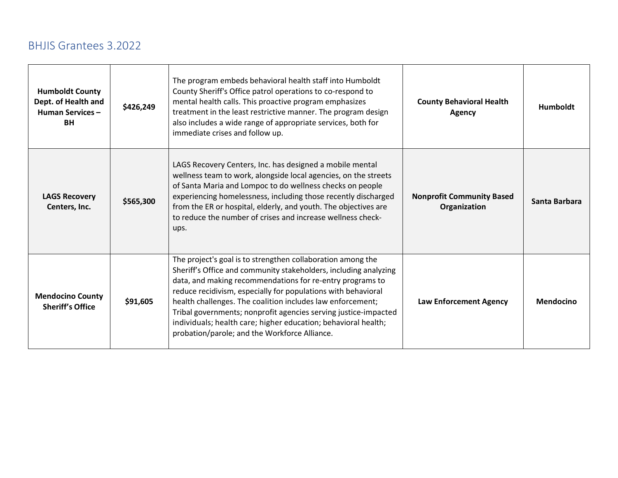| <b>Humboldt County</b><br>Dept. of Health and<br><b>Human Services-</b><br><b>BH</b> | \$426,249 | The program embeds behavioral health staff into Humboldt<br>County Sheriff's Office patrol operations to co-respond to<br>mental health calls. This proactive program emphasizes<br>treatment in the least restrictive manner. The program design<br>also includes a wide range of appropriate services, both for<br>immediate crises and follow up.                                                                                                                                                              | <b>County Behavioral Health</b><br><b>Agency</b> | <b>Humboldt</b>  |
|--------------------------------------------------------------------------------------|-----------|-------------------------------------------------------------------------------------------------------------------------------------------------------------------------------------------------------------------------------------------------------------------------------------------------------------------------------------------------------------------------------------------------------------------------------------------------------------------------------------------------------------------|--------------------------------------------------|------------------|
| <b>LAGS Recovery</b><br>Centers, Inc.                                                | \$565,300 | LAGS Recovery Centers, Inc. has designed a mobile mental<br>wellness team to work, alongside local agencies, on the streets<br>of Santa Maria and Lompoc to do wellness checks on people<br>experiencing homelessness, including those recently discharged<br>from the ER or hospital, elderly, and youth. The objectives are<br>to reduce the number of crises and increase wellness check-<br>ups.                                                                                                              | <b>Nonprofit Community Based</b><br>Organization | Santa Barbara    |
| <b>Mendocino County</b><br><b>Sheriff's Office</b>                                   | \$91,605  | The project's goal is to strengthen collaboration among the<br>Sheriff's Office and community stakeholders, including analyzing<br>data, and making recommendations for re-entry programs to<br>reduce recidivism, especially for populations with behavioral<br>health challenges. The coalition includes law enforcement;<br>Tribal governments; nonprofit agencies serving justice-impacted<br>individuals; health care; higher education; behavioral health;<br>probation/parole; and the Workforce Alliance. | Law Enforcement Agency                           | <b>Mendocino</b> |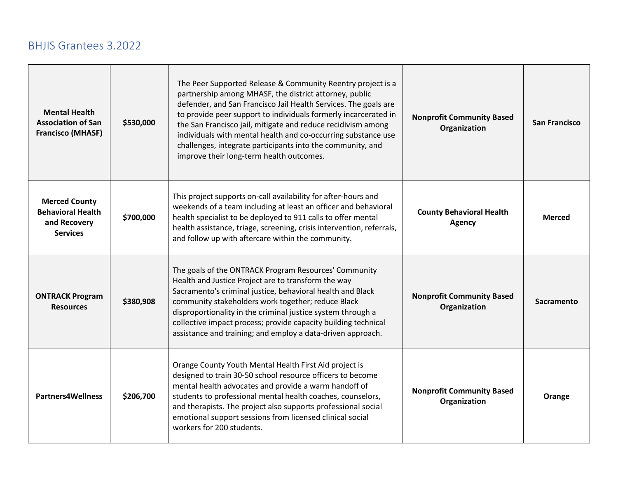| <b>Mental Health</b><br><b>Association of San</b><br><b>Francisco (MHASF)</b>       | \$530,000 | The Peer Supported Release & Community Reentry project is a<br>partnership among MHASF, the district attorney, public<br>defender, and San Francisco Jail Health Services. The goals are<br>to provide peer support to individuals formerly incarcerated in<br>the San Francisco jail, mitigate and reduce recidivism among<br>individuals with mental health and co-occurring substance use<br>challenges, integrate participants into the community, and<br>improve their long-term health outcomes. | <b>Nonprofit Community Based</b><br>Organization | San Francisco |
|-------------------------------------------------------------------------------------|-----------|--------------------------------------------------------------------------------------------------------------------------------------------------------------------------------------------------------------------------------------------------------------------------------------------------------------------------------------------------------------------------------------------------------------------------------------------------------------------------------------------------------|--------------------------------------------------|---------------|
| <b>Merced County</b><br><b>Behavioral Health</b><br>and Recovery<br><b>Services</b> | \$700,000 | This project supports on-call availability for after-hours and<br>weekends of a team including at least an officer and behavioral<br>health specialist to be deployed to 911 calls to offer mental<br>health assistance, triage, screening, crisis intervention, referrals,<br>and follow up with aftercare within the community.                                                                                                                                                                      | <b>County Behavioral Health</b><br><b>Agency</b> | <b>Merced</b> |
| <b>ONTRACK Program</b><br><b>Resources</b>                                          | \$380,908 | The goals of the ONTRACK Program Resources' Community<br>Health and Justice Project are to transform the way<br>Sacramento's criminal justice, behavioral health and Black<br>community stakeholders work together; reduce Black<br>disproportionality in the criminal justice system through a<br>collective impact process; provide capacity building technical<br>assistance and training; and employ a data-driven approach.                                                                       | <b>Nonprofit Community Based</b><br>Organization | Sacramento    |
| <b>Partners4Wellness</b>                                                            | \$206,700 | Orange County Youth Mental Health First Aid project is<br>designed to train 30-50 school resource officers to become<br>mental health advocates and provide a warm handoff of<br>students to professional mental health coaches, counselors,<br>and therapists. The project also supports professional social<br>emotional support sessions from licensed clinical social<br>workers for 200 students.                                                                                                 | <b>Nonprofit Community Based</b><br>Organization | Orange        |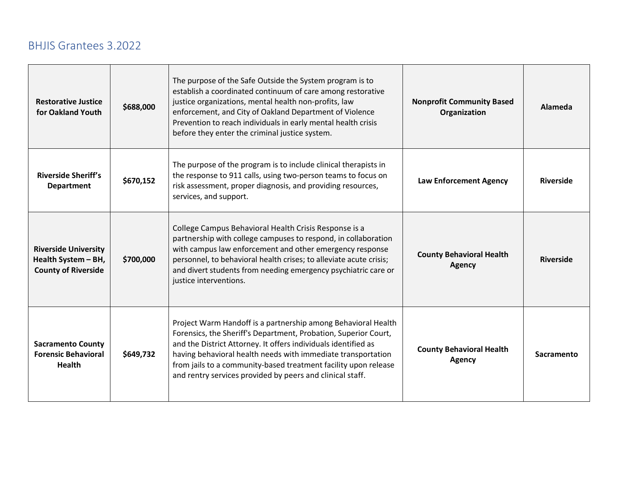| <b>Restorative Justice</b><br>for Oakland Youth                                  | \$688,000 | The purpose of the Safe Outside the System program is to<br>establish a coordinated continuum of care among restorative<br>justice organizations, mental health non-profits, law<br>enforcement, and City of Oakland Department of Violence<br>Prevention to reach individuals in early mental health crisis<br>before they enter the criminal justice system.                                     | <b>Nonprofit Community Based</b><br>Organization | Alameda          |
|----------------------------------------------------------------------------------|-----------|----------------------------------------------------------------------------------------------------------------------------------------------------------------------------------------------------------------------------------------------------------------------------------------------------------------------------------------------------------------------------------------------------|--------------------------------------------------|------------------|
| <b>Riverside Sheriff's</b><br><b>Department</b>                                  | \$670,152 | The purpose of the program is to include clinical therapists in<br>the response to 911 calls, using two-person teams to focus on<br>risk assessment, proper diagnosis, and providing resources,<br>services, and support.                                                                                                                                                                          | Law Enforcement Agency                           | <b>Riverside</b> |
| <b>Riverside University</b><br>Health System - BH,<br><b>County of Riverside</b> | \$700,000 | College Campus Behavioral Health Crisis Response is a<br>partnership with college campuses to respond, in collaboration<br>with campus law enforcement and other emergency response<br>personnel, to behavioral health crises; to alleviate acute crisis;<br>and divert students from needing emergency psychiatric care or<br>justice interventions.                                              | <b>County Behavioral Health</b><br><b>Agency</b> | <b>Riverside</b> |
| <b>Sacramento County</b><br><b>Forensic Behavioral</b><br><b>Health</b>          | \$649,732 | Project Warm Handoff is a partnership among Behavioral Health<br>Forensics, the Sheriff's Department, Probation, Superior Court,<br>and the District Attorney. It offers individuals identified as<br>having behavioral health needs with immediate transportation<br>from jails to a community-based treatment facility upon release<br>and rentry services provided by peers and clinical staff. | <b>County Behavioral Health</b><br><b>Agency</b> | Sacramento       |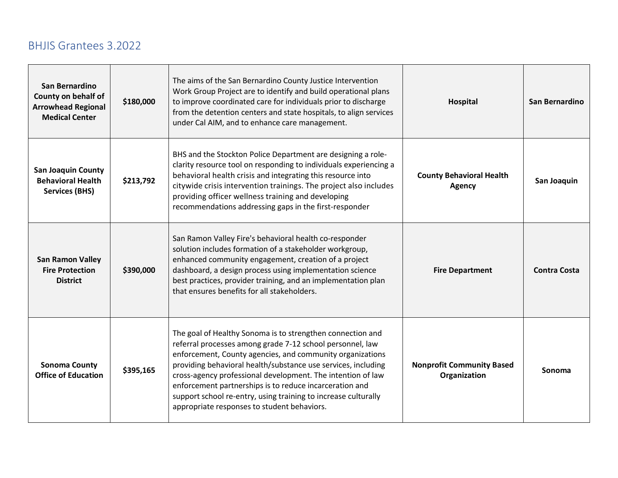| San Bernardino<br>County on behalf of<br><b>Arrowhead Regional</b><br><b>Medical Center</b> | \$180,000 | The aims of the San Bernardino County Justice Intervention<br>Work Group Project are to identify and build operational plans<br>to improve coordinated care for individuals prior to discharge<br>from the detention centers and state hospitals, to align services<br>under Cal AIM, and to enhance care management.                                                                                                                                                                            | Hospital                                         | San Bernardino      |
|---------------------------------------------------------------------------------------------|-----------|--------------------------------------------------------------------------------------------------------------------------------------------------------------------------------------------------------------------------------------------------------------------------------------------------------------------------------------------------------------------------------------------------------------------------------------------------------------------------------------------------|--------------------------------------------------|---------------------|
| <b>San Joaquin County</b><br><b>Behavioral Health</b><br><b>Services (BHS)</b>              | \$213,792 | BHS and the Stockton Police Department are designing a role-<br>clarity resource tool on responding to individuals experiencing a<br>behavioral health crisis and integrating this resource into<br>citywide crisis intervention trainings. The project also includes<br>providing officer wellness training and developing<br>recommendations addressing gaps in the first-responder                                                                                                            | <b>County Behavioral Health</b><br><b>Agency</b> | San Joaquin         |
| <b>San Ramon Valley</b><br><b>Fire Protection</b><br><b>District</b>                        | \$390,000 | San Ramon Valley Fire's behavioral health co-responder<br>solution includes formation of a stakeholder workgroup,<br>enhanced community engagement, creation of a project<br>dashboard, a design process using implementation science<br>best practices, provider training, and an implementation plan<br>that ensures benefits for all stakeholders.                                                                                                                                            | <b>Fire Department</b>                           | <b>Contra Costa</b> |
| <b>Sonoma County</b><br><b>Office of Education</b>                                          | \$395,165 | The goal of Healthy Sonoma is to strengthen connection and<br>referral processes among grade 7-12 school personnel, law<br>enforcement, County agencies, and community organizations<br>providing behavioral health/substance use services, including<br>cross-agency professional development. The intention of law<br>enforcement partnerships is to reduce incarceration and<br>support school re-entry, using training to increase culturally<br>appropriate responses to student behaviors. | <b>Nonprofit Community Based</b><br>Organization | Sonoma              |